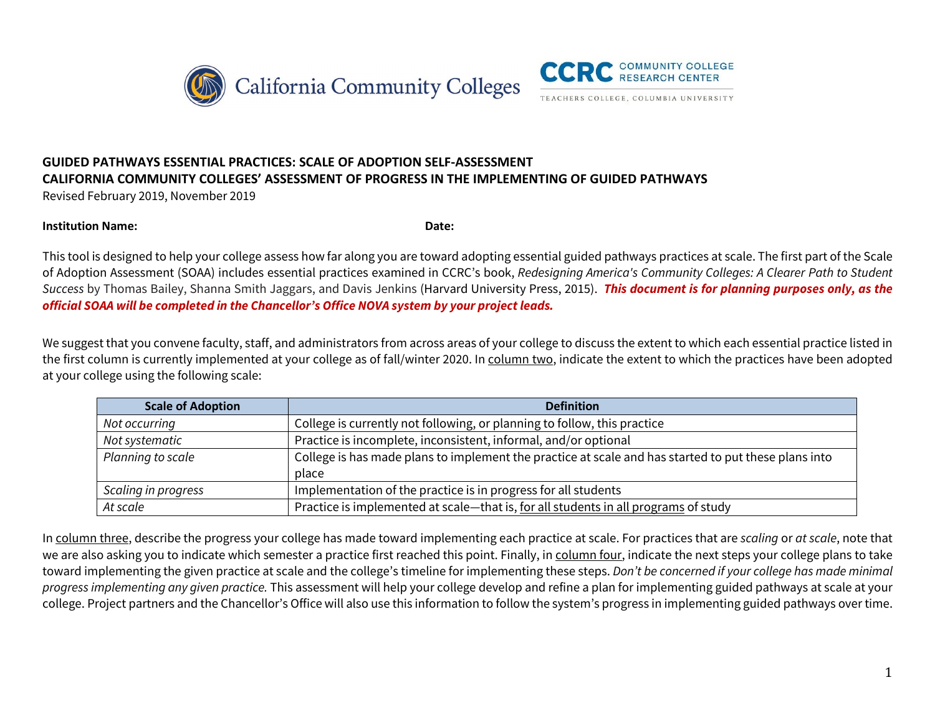



## **GUIDED PATHWAYS ESSENTIAL PRACTICES: SCALE OF ADOPTION SELF-ASSESSMENT CALIFORNIA COMMUNITY COLLEGES' ASSESSMENT OF PROGRESS IN THE IMPLEMENTING OF GUIDED PATHWAYS**

Revised February 2019, November 2019

#### **Institution Name: Date:**

This tool is designed to help your college assess how far along you are toward adopting essential guided pathways practices at scale. The first part of the Scale of Adoption Assessment (SOAA) includes essential practices examined in CCRC's book, *Redesigning America's Community Colleges: A Clearer Path to Student Success* by Thomas Bailey, Shanna Smith Jaggars, and Davis Jenkins (Harvard University Press, 2015). *This document is for planning purposes only, as the official SOAA will be completed in the Chancellor's Office NOVA system by your project leads.*

We suggest that you convene faculty, staff, and administrators from across areas of your college to discuss the extent to which each essential practice listed in the first column is currently implemented at your college as of fall/winter 2020. In column two, indicate the extent to which the practices have been adopted at your college using the following scale:

| <b>Scale of Adoption</b> | <b>Definition</b>                                                                                             |
|--------------------------|---------------------------------------------------------------------------------------------------------------|
| Not occurring            | College is currently not following, or planning to follow, this practice                                      |
| Not systematic           | Practice is incomplete, inconsistent, informal, and/or optional                                               |
| Planning to scale        | College is has made plans to implement the practice at scale and has started to put these plans into<br>place |
| Scaling in progress      | Implementation of the practice is in progress for all students                                                |
| At scale                 | Practice is implemented at scale-that is, for all students in all programs of study                           |

In column three, describe the progress your college has made toward implementing each practice at scale. For practices that are *scaling* or *at scale*, note that we are also asking you to indicate which semester a practice first reached this point. Finally, in column four, indicate the next steps your college plans to take toward implementing the given practice at scale and the college's timeline for implementing these steps. *Don't be concerned if your college has made minimal progress implementing any given practice.* This assessment will help your college develop and refine a plan for implementing guided pathways at scale at your college. Project partners and the Chancellor's Office will also use this information to follow the system's progress in implementing guided pathways over time.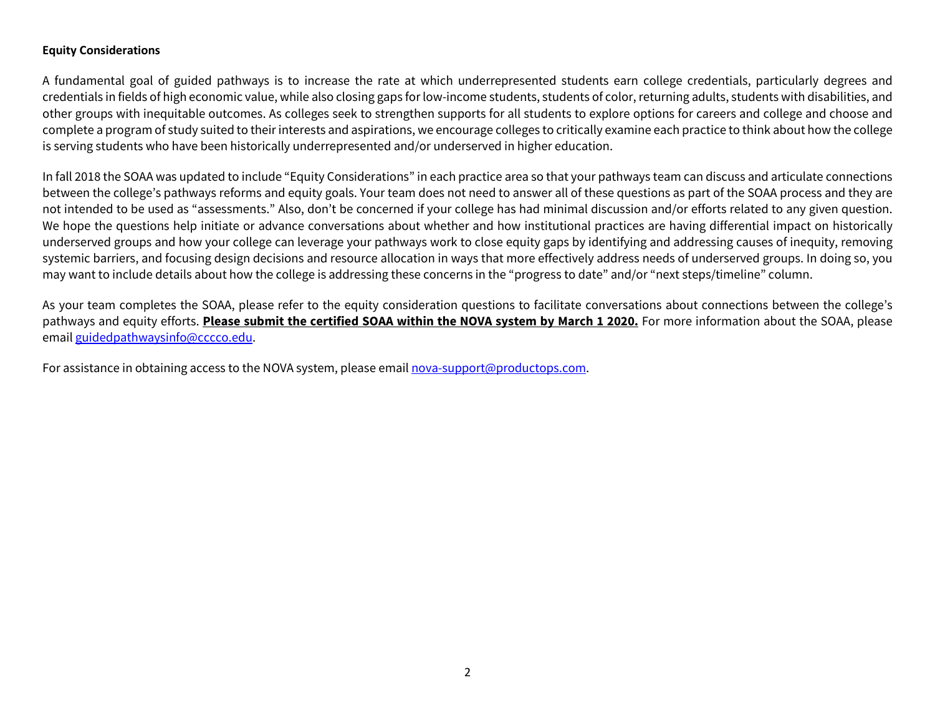#### **Equity Considerations**

A fundamental goal of guided pathways is to increase the rate at which underrepresented students earn college credentials, particularly degrees and credentials in fields of high economic value, while also closing gaps for low-income students, students of color, returning adults, students with disabilities, and other groups with inequitable outcomes. As colleges seek to strengthen supports for all students to explore options for careers and college and choose and complete a program of study suited to their interests and aspirations, we encourage colleges to critically examine each practice to think about how the college is serving students who have been historically underrepresented and/or underserved in higher education.

In fall 2018 the SOAA was updated to include "Equity Considerations" in each practice area so that your pathways team can discuss and articulate connections between the college's pathways reforms and equity goals. Your team does not need to answer all of these questions as part of the SOAA process and they are not intended to be used as "assessments." Also, don't be concerned if your college has had minimal discussion and/or efforts related to any given question. We hope the questions help initiate or advance conversations about whether and how institutional practices are having differential impact on historically underserved groups and how your college can leverage your pathways work to close equity gaps by identifying and addressing causes of inequity, removing systemic barriers, and focusing design decisions and resource allocation in ways that more effectively address needs of underserved groups. In doing so, you may want to include details about how the college is addressing these concerns in the "progress to date" and/or "next steps/timeline" column.

As your team completes the SOAA, please refer to the equity consideration questions to facilitate conversations about connections between the college's pathways and equity efforts. **Please submit the certified SOAA within the NOVA system by March 1 2020.** For more information about the SOAA, please email [guidedpathwaysinfo@cccco.edu.](mailto:guidedpathwaysinfo@cccco.edu)

For assistance in obtaining access to the NOVA system, please emai[l nova-support@productops.com.](mailto:nova-support@productops.com)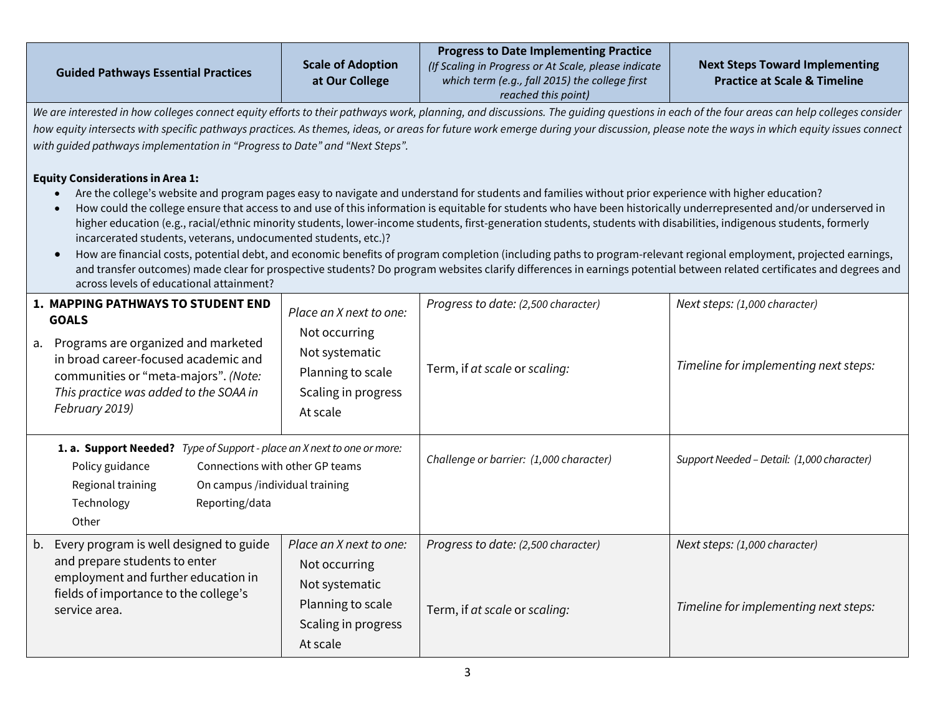| <b>Guided Pathways Essential Practices</b>                                                                                                                                                                                                                                                                                                                                                                                                                                                                                                                                                                                           | <b>Scale of Adoption</b><br>at Our College                                                                         | <b>Progress to Date Implementing Practice</b><br>(If Scaling in Progress or At Scale, please indicate<br>which term (e.g., fall 2015) the college first<br>reached this point)                                                                                                                                                                                                                                                                                                                                                                                                                                                                                                                                                                                                                                                                       | <b>Next Steps Toward Implementing</b><br><b>Practice at Scale &amp; Timeline</b> |
|--------------------------------------------------------------------------------------------------------------------------------------------------------------------------------------------------------------------------------------------------------------------------------------------------------------------------------------------------------------------------------------------------------------------------------------------------------------------------------------------------------------------------------------------------------------------------------------------------------------------------------------|--------------------------------------------------------------------------------------------------------------------|------------------------------------------------------------------------------------------------------------------------------------------------------------------------------------------------------------------------------------------------------------------------------------------------------------------------------------------------------------------------------------------------------------------------------------------------------------------------------------------------------------------------------------------------------------------------------------------------------------------------------------------------------------------------------------------------------------------------------------------------------------------------------------------------------------------------------------------------------|----------------------------------------------------------------------------------|
| We are interested in how colleges connect equity efforts to their pathways work, planning, and discussions. The guiding questions in each of the four areas can help colleges consider<br>how equity intersects with specific pathways practices. As themes, ideas, or areas for future work emerge during your discussion, please note the ways in which equity issues connect<br>with guided pathways implementation in "Progress to Date" and "Next Steps".<br><b>Equity Considerations in Area 1:</b><br>incarcerated students, veterans, undocumented students, etc.)?<br>$\bullet$<br>across levels of educational attainment? |                                                                                                                    | Are the college's website and program pages easy to navigate and understand for students and families without prior experience with higher education?<br>How could the college ensure that access to and use of this information is equitable for students who have been historically underrepresented and/or underserved in<br>higher education (e.g., racial/ethnic minority students, lower-income students, first-generation students, students with disabilities, indigenous students, formerly<br>How are financial costs, potential debt, and economic benefits of program completion (including paths to program-relevant regional employment, projected earnings,<br>and transfer outcomes) made clear for prospective students? Do program websites clarify differences in earnings potential between related certificates and degrees and |                                                                                  |
| 1. MAPPING PATHWAYS TO STUDENT END<br><b>GOALS</b><br>a. Programs are organized and marketed<br>in broad career-focused academic and<br>communities or "meta-majors". (Note:<br>This practice was added to the SOAA in<br>February 2019)                                                                                                                                                                                                                                                                                                                                                                                             | Place an X next to one:<br>Not occurring<br>Not systematic<br>Planning to scale<br>Scaling in progress<br>At scale | Progress to date: (2,500 character)<br>Term, if at scale or scaling:                                                                                                                                                                                                                                                                                                                                                                                                                                                                                                                                                                                                                                                                                                                                                                                 | Next steps: (1,000 character)<br>Timeline for implementing next steps:           |
| 1. a. Support Needed? Type of Support - place an X next to one or more:<br>Connections with other GP teams<br>Policy guidance<br>Regional training<br>On campus /individual training<br>Technology<br>Reporting/data<br>Other                                                                                                                                                                                                                                                                                                                                                                                                        |                                                                                                                    | Challenge or barrier: (1,000 character)                                                                                                                                                                                                                                                                                                                                                                                                                                                                                                                                                                                                                                                                                                                                                                                                              | Support Needed - Detail: (1,000 character)                                       |
| b. Every program is well designed to guide<br>and prepare students to enter<br>employment and further education in<br>fields of importance to the college's<br>service area.                                                                                                                                                                                                                                                                                                                                                                                                                                                         | Place an X next to one:<br>Not occurring<br>Not systematic<br>Planning to scale<br>Scaling in progress<br>At scale | Progress to date: (2,500 character)<br>Term, if at scale or scaling:                                                                                                                                                                                                                                                                                                                                                                                                                                                                                                                                                                                                                                                                                                                                                                                 | Next steps: (1,000 character)<br>Timeline for implementing next steps:           |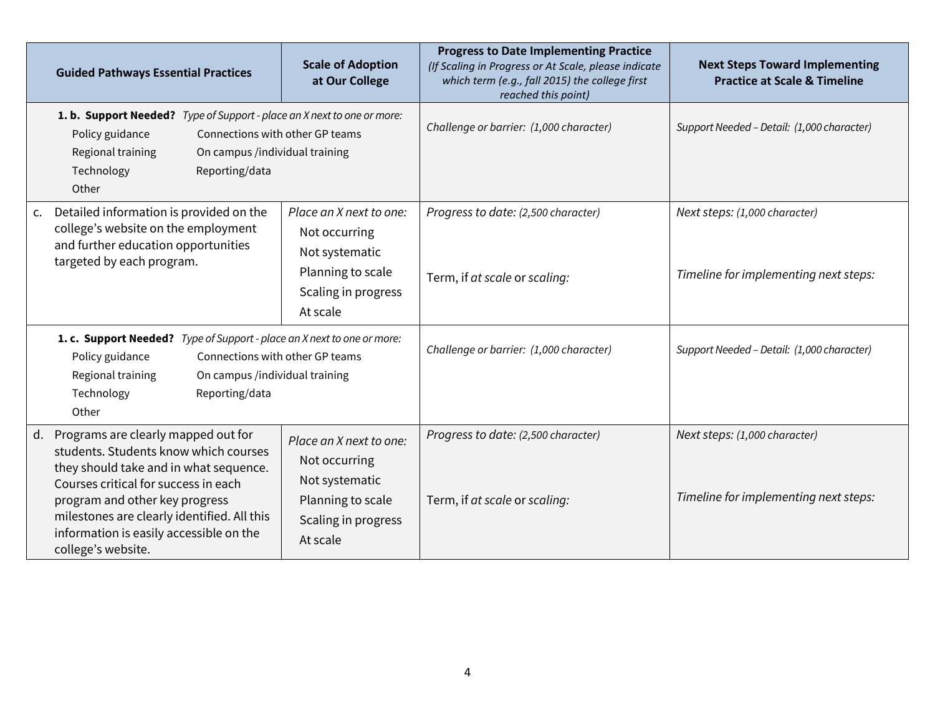|    | <b>Guided Pathways Essential Practices</b>                                                                                                                                                                                                                                                                       | <b>Scale of Adoption</b><br>at Our College                                                                         | <b>Progress to Date Implementing Practice</b><br>(If Scaling in Progress or At Scale, please indicate<br>which term (e.g., fall 2015) the college first<br>reached this point) | <b>Next Steps Toward Implementing</b><br><b>Practice at Scale &amp; Timeline</b> |
|----|------------------------------------------------------------------------------------------------------------------------------------------------------------------------------------------------------------------------------------------------------------------------------------------------------------------|--------------------------------------------------------------------------------------------------------------------|--------------------------------------------------------------------------------------------------------------------------------------------------------------------------------|----------------------------------------------------------------------------------|
|    | <b>1. b. Support Needed?</b> Type of Support - place an X next to one or more:<br>Policy guidance<br>Connections with other GP teams<br>Regional training<br>On campus /individual training<br>Technology<br>Reporting/data<br>Other                                                                             |                                                                                                                    | Challenge or barrier: (1,000 character)                                                                                                                                        | Support Needed - Detail: (1,000 character)                                       |
| c. | Detailed information is provided on the<br>college's website on the employment<br>and further education opportunities<br>targeted by each program.                                                                                                                                                               | Place an X next to one:<br>Not occurring<br>Not systematic<br>Planning to scale<br>Scaling in progress<br>At scale | Progress to date: (2,500 character)<br>Term, if at scale or scaling:                                                                                                           | Next steps: (1,000 character)<br>Timeline for implementing next steps:           |
|    | 1. c. Support Needed? Type of Support - place an X next to one or more:<br>Policy guidance<br>Connections with other GP teams<br>Regional training<br>On campus /individual training<br>Technology<br>Reporting/data<br>Other                                                                                    |                                                                                                                    | Challenge or barrier: (1,000 character)                                                                                                                                        | Support Needed - Detail: (1,000 character)                                       |
| d. | Programs are clearly mapped out for<br>students. Students know which courses<br>they should take and in what sequence.<br>Courses critical for success in each<br>program and other key progress<br>milestones are clearly identified. All this<br>information is easily accessible on the<br>college's website. | Place an X next to one:<br>Not occurring<br>Not systematic<br>Planning to scale<br>Scaling in progress<br>At scale | Progress to date: (2,500 character)<br>Term, if at scale or scaling:                                                                                                           | Next steps: (1,000 character)<br>Timeline for implementing next steps:           |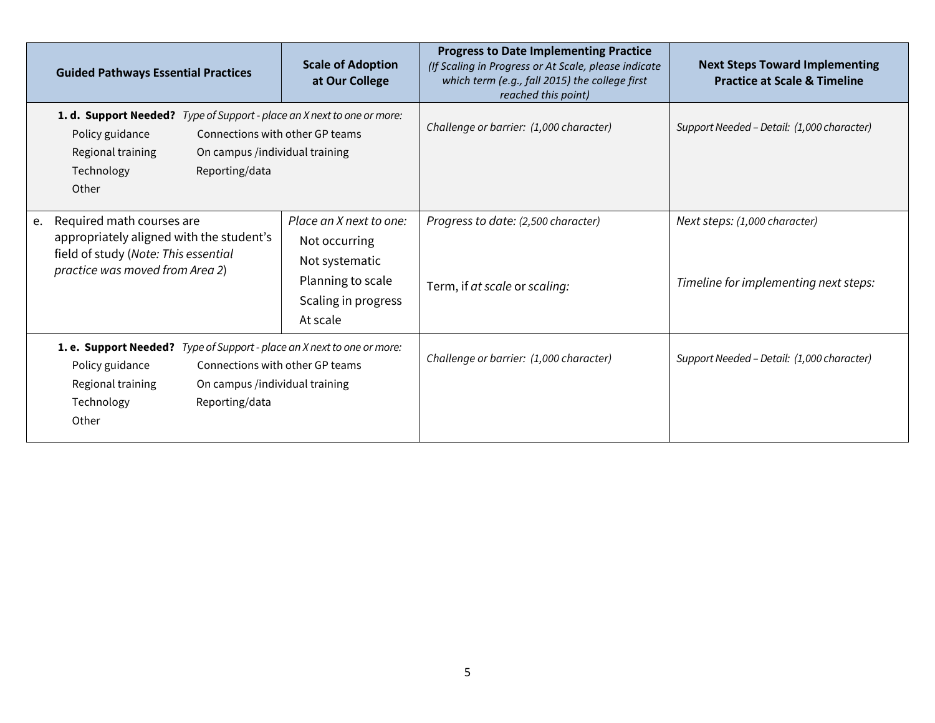|    | <b>Guided Pathways Essential Practices</b>                                                                                                                                                                                           | <b>Scale of Adoption</b><br>at Our College                                                                         | <b>Progress to Date Implementing Practice</b><br>(If Scaling in Progress or At Scale, please indicate<br>which term (e.g., fall 2015) the college first<br>reached this point) | <b>Next Steps Toward Implementing</b><br><b>Practice at Scale &amp; Timeline</b> |
|----|--------------------------------------------------------------------------------------------------------------------------------------------------------------------------------------------------------------------------------------|--------------------------------------------------------------------------------------------------------------------|--------------------------------------------------------------------------------------------------------------------------------------------------------------------------------|----------------------------------------------------------------------------------|
|    | <b>1. d. Support Needed?</b> Type of Support - place an X next to one or more:<br>Policy guidance<br>Connections with other GP teams<br>Regional training<br>On campus /individual training<br>Technology<br>Reporting/data<br>Other |                                                                                                                    | Challenge or barrier: (1,000 character)                                                                                                                                        | Support Needed - Detail: (1,000 character)                                       |
| e. | Required math courses are<br>appropriately aligned with the student's<br>field of study (Note: This essential<br>practice was moved from Area 2)                                                                                     | Place an X next to one:<br>Not occurring<br>Not systematic<br>Planning to scale<br>Scaling in progress<br>At scale | Progress to date: (2,500 character)<br>Term, if at scale or scaling:                                                                                                           | Next steps: (1,000 character)<br>Timeline for implementing next steps:           |
|    | 1. e. Support Needed? Type of Support - place an X next to one or more:<br>Policy guidance<br>Connections with other GP teams<br>On campus /individual training<br>Regional training<br>Technology<br>Reporting/data<br>Other        |                                                                                                                    | Challenge or barrier: (1,000 character)                                                                                                                                        | Support Needed - Detail: (1,000 character)                                       |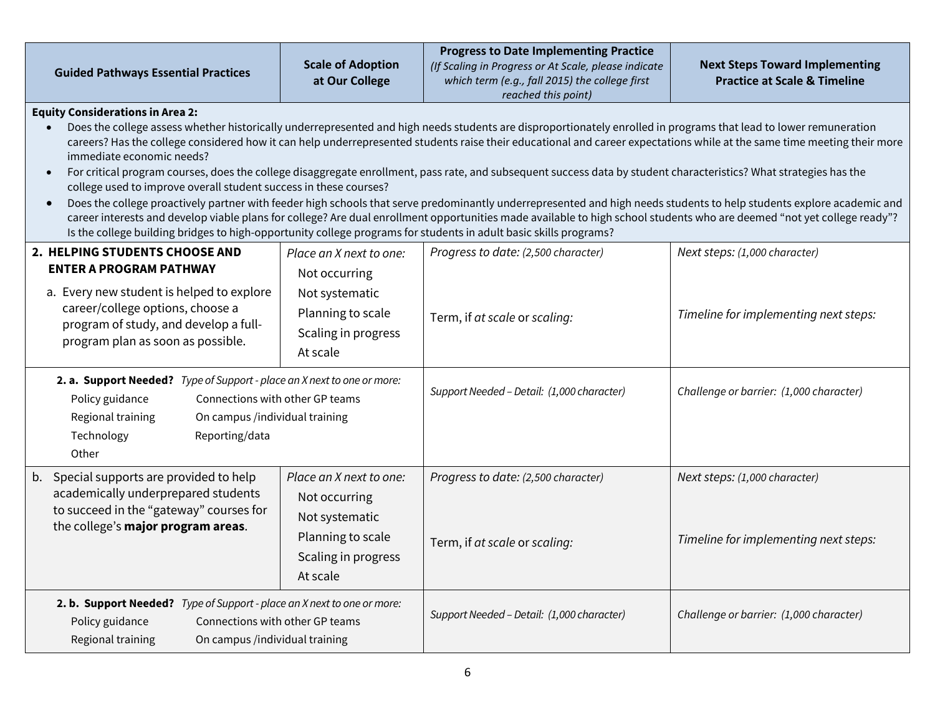| <b>Guided Pathways Essential Practices</b>                                                                                                                                                                                                                                                                                                                                                                                                                                                                                                                                                                                                                                                                                                                                                                                                                                                                                                                                                                                                                                                                                                                         | <b>Scale of Adoption</b><br>at Our College                                                                         | <b>Progress to Date Implementing Practice</b><br>(If Scaling in Progress or At Scale, please indicate<br>which term (e.g., fall 2015) the college first<br>reached this point) | <b>Next Steps Toward Implementing</b><br><b>Practice at Scale &amp; Timeline</b> |  |
|--------------------------------------------------------------------------------------------------------------------------------------------------------------------------------------------------------------------------------------------------------------------------------------------------------------------------------------------------------------------------------------------------------------------------------------------------------------------------------------------------------------------------------------------------------------------------------------------------------------------------------------------------------------------------------------------------------------------------------------------------------------------------------------------------------------------------------------------------------------------------------------------------------------------------------------------------------------------------------------------------------------------------------------------------------------------------------------------------------------------------------------------------------------------|--------------------------------------------------------------------------------------------------------------------|--------------------------------------------------------------------------------------------------------------------------------------------------------------------------------|----------------------------------------------------------------------------------|--|
| <b>Equity Considerations in Area 2:</b><br>Does the college assess whether historically underrepresented and high needs students are disproportionately enrolled in programs that lead to lower remuneration<br>careers? Has the college considered how it can help underrepresented students raise their educational and career expectations while at the same time meeting their more<br>immediate economic needs?<br>For critical program courses, does the college disaggregate enrollment, pass rate, and subsequent success data by student characteristics? What strategies has the<br>$\bullet$<br>college used to improve overall student success in these courses?<br>Does the college proactively partner with feeder high schools that serve predominantly underrepresented and high needs students to help students explore academic and<br>$\bullet$<br>career interests and develop viable plans for college? Are dual enrollment opportunities made available to high school students who are deemed "not yet college ready"?<br>Is the college building bridges to high-opportunity college programs for students in adult basic skills programs? |                                                                                                                    |                                                                                                                                                                                |                                                                                  |  |
| 2. HELPING STUDENTS CHOOSE AND<br><b>ENTER A PROGRAM PATHWAY</b><br>a. Every new student is helped to explore<br>career/college options, choose a<br>program of study, and develop a full-<br>program plan as soon as possible.                                                                                                                                                                                                                                                                                                                                                                                                                                                                                                                                                                                                                                                                                                                                                                                                                                                                                                                                    | Place an X next to one:<br>Not occurring<br>Not systematic<br>Planning to scale<br>Scaling in progress<br>At scale | Progress to date: (2,500 character)<br>Term, if at scale or scaling:                                                                                                           | Next steps: (1,000 character)<br>Timeline for implementing next steps:           |  |
| 2. a. Support Needed? Type of Support - place an X next to one or more:<br>Connections with other GP teams<br>Policy guidance<br>Regional training<br>On campus /individual training<br>Technology<br>Reporting/data<br>Other                                                                                                                                                                                                                                                                                                                                                                                                                                                                                                                                                                                                                                                                                                                                                                                                                                                                                                                                      |                                                                                                                    | Support Needed - Detail: (1,000 character)                                                                                                                                     | Challenge or barrier: (1,000 character)                                          |  |
| b. Special supports are provided to help<br>academically underprepared students<br>to succeed in the "gateway" courses for<br>the college's major program areas.                                                                                                                                                                                                                                                                                                                                                                                                                                                                                                                                                                                                                                                                                                                                                                                                                                                                                                                                                                                                   | Place an X next to one:<br>Not occurring<br>Not systematic<br>Planning to scale<br>Scaling in progress<br>At scale | Progress to date: (2,500 character)<br>Term, if at scale or scaling:                                                                                                           | Next steps: (1,000 character)<br>Timeline for implementing next steps:           |  |
| 2. b. Support Needed? Type of Support - place an X next to one or more:<br>Policy guidance<br>Connections with other GP teams<br>Regional training<br>On campus /individual training                                                                                                                                                                                                                                                                                                                                                                                                                                                                                                                                                                                                                                                                                                                                                                                                                                                                                                                                                                               |                                                                                                                    | Support Needed - Detail: (1,000 character)                                                                                                                                     | Challenge or barrier: (1,000 character)                                          |  |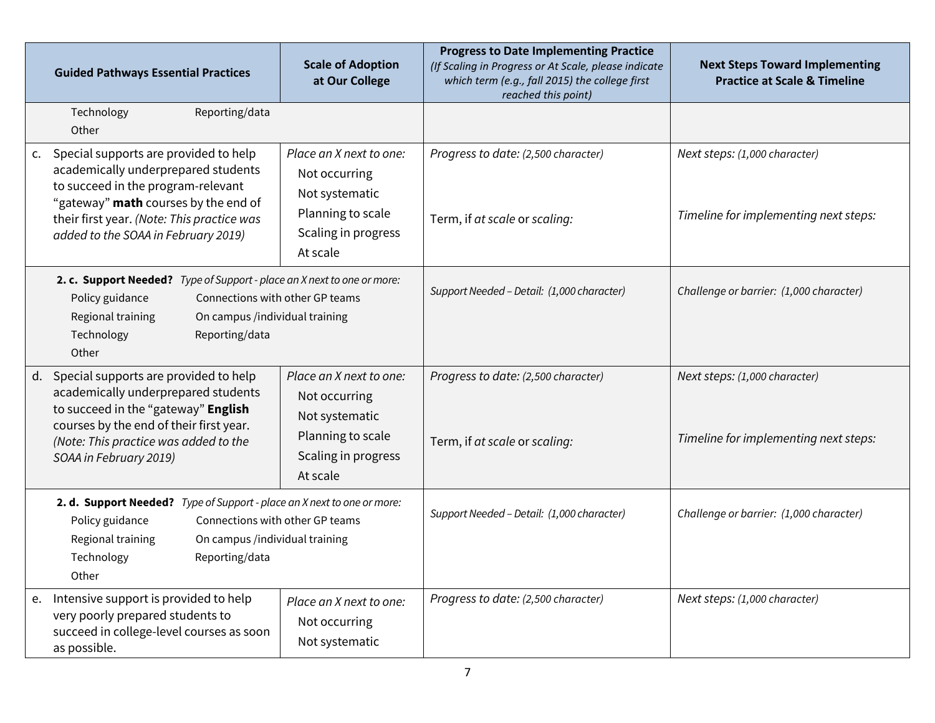| <b>Guided Pathways Essential Practices</b>                                                                                                                                                                                                         | <b>Scale of Adoption</b><br>at Our College                                                                         | <b>Progress to Date Implementing Practice</b><br>(If Scaling in Progress or At Scale, please indicate<br>which term (e.g., fall 2015) the college first<br>reached this point) | <b>Next Steps Toward Implementing</b><br><b>Practice at Scale &amp; Timeline</b> |
|----------------------------------------------------------------------------------------------------------------------------------------------------------------------------------------------------------------------------------------------------|--------------------------------------------------------------------------------------------------------------------|--------------------------------------------------------------------------------------------------------------------------------------------------------------------------------|----------------------------------------------------------------------------------|
| Reporting/data<br>Technology<br>Other                                                                                                                                                                                                              |                                                                                                                    |                                                                                                                                                                                |                                                                                  |
| c. Special supports are provided to help<br>academically underprepared students<br>to succeed in the program-relevant<br>"gateway" math courses by the end of<br>their first year. (Note: This practice was<br>added to the SOAA in February 2019) | Place an X next to one:<br>Not occurring<br>Not systematic<br>Planning to scale<br>Scaling in progress<br>At scale | Progress to date: (2,500 character)<br>Term, if at scale or scaling:                                                                                                           | Next steps: (1,000 character)<br>Timeline for implementing next steps:           |
| 2. c. Support Needed? Type of Support - place an X next to one or more:<br>Policy guidance<br>Connections with other GP teams<br>Regional training<br>On campus /individual training<br>Technology<br>Reporting/data<br>Other                      |                                                                                                                    | Support Needed - Detail: (1,000 character)                                                                                                                                     | Challenge or barrier: (1,000 character)                                          |
| d. Special supports are provided to help<br>academically underprepared students<br>to succeed in the "gateway" English<br>courses by the end of their first year.<br>(Note: This practice was added to the<br>SOAA in February 2019)               | Place an X next to one:<br>Not occurring<br>Not systematic<br>Planning to scale<br>Scaling in progress<br>At scale | Progress to date: (2,500 character)<br>Term, if at scale or scaling:                                                                                                           | Next steps: (1,000 character)<br>Timeline for implementing next steps:           |
| 2. d. Support Needed? Type of Support - place an X next to one or more:<br>Policy guidance<br>Connections with other GP teams<br>Regional training<br>On campus /individual training<br>Technology<br>Reporting/data<br>Other                      |                                                                                                                    | Support Needed - Detail: (1,000 character)                                                                                                                                     | Challenge or barrier: (1,000 character)                                          |
| e. Intensive support is provided to help<br>very poorly prepared students to<br>succeed in college-level courses as soon<br>as possible.                                                                                                           | Place an X next to one:<br>Not occurring<br>Not systematic                                                         | Progress to date: (2,500 character)                                                                                                                                            | Next steps: (1,000 character)                                                    |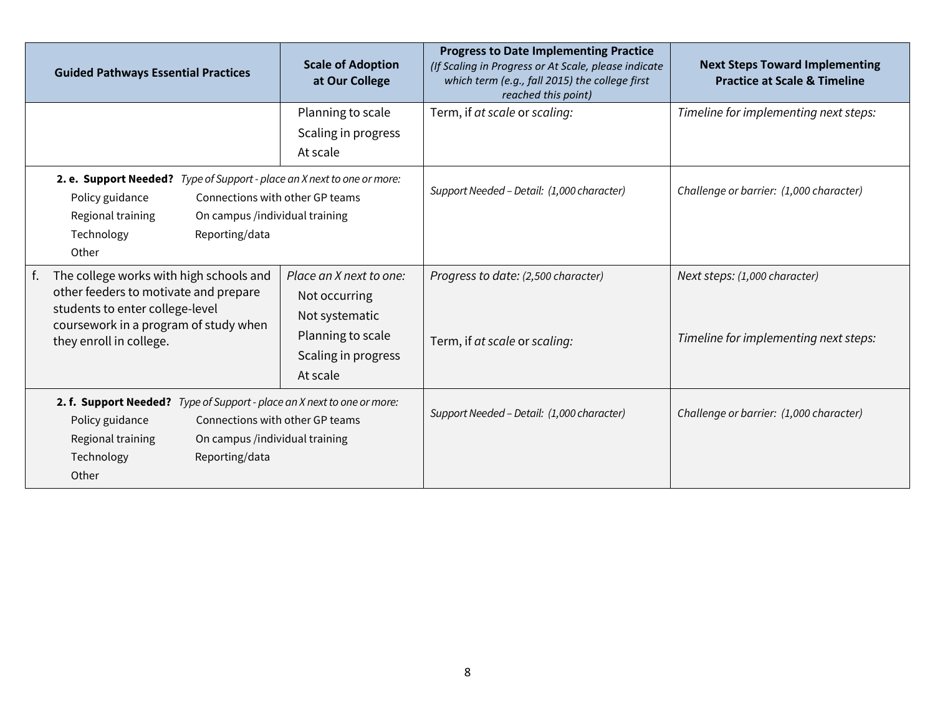|                                                             | <b>Guided Pathways Essential Practices</b>                                                                                                                     | <b>Scale of Adoption</b><br>at Our College                                                                         | <b>Progress to Date Implementing Practice</b><br>(If Scaling in Progress or At Scale, please indicate<br>which term (e.g., fall 2015) the college first<br>reached this point) | <b>Next Steps Toward Implementing</b><br><b>Practice at Scale &amp; Timeline</b> |
|-------------------------------------------------------------|----------------------------------------------------------------------------------------------------------------------------------------------------------------|--------------------------------------------------------------------------------------------------------------------|--------------------------------------------------------------------------------------------------------------------------------------------------------------------------------|----------------------------------------------------------------------------------|
|                                                             |                                                                                                                                                                | Planning to scale<br>Scaling in progress<br>At scale                                                               | Term, if at scale or scaling:                                                                                                                                                  | Timeline for implementing next steps:                                            |
| Policy guidance<br>Regional training<br>Technology<br>Other | 2. e. Support Needed? Type of Support - place an X next to one or more:<br>Connections with other GP teams<br>On campus /individual training<br>Reporting/data |                                                                                                                    | Support Needed - Detail: (1,000 character)                                                                                                                                     | Challenge or barrier: (1,000 character)                                          |
| they enroll in college.                                     | The college works with high schools and<br>other feeders to motivate and prepare<br>students to enter college-level<br>coursework in a program of study when   | Place an X next to one:<br>Not occurring<br>Not systematic<br>Planning to scale<br>Scaling in progress<br>At scale | Progress to date: (2,500 character)<br>Term, if at scale or scaling:                                                                                                           | Next steps: (1,000 character)<br>Timeline for implementing next steps:           |
| Policy guidance<br>Regional training<br>Technology<br>Other | 2. f. Support Needed? Type of Support - place an X next to one or more:<br>Connections with other GP teams<br>On campus /individual training<br>Reporting/data |                                                                                                                    | Support Needed - Detail: (1,000 character)                                                                                                                                     | Challenge or barrier: (1,000 character)                                          |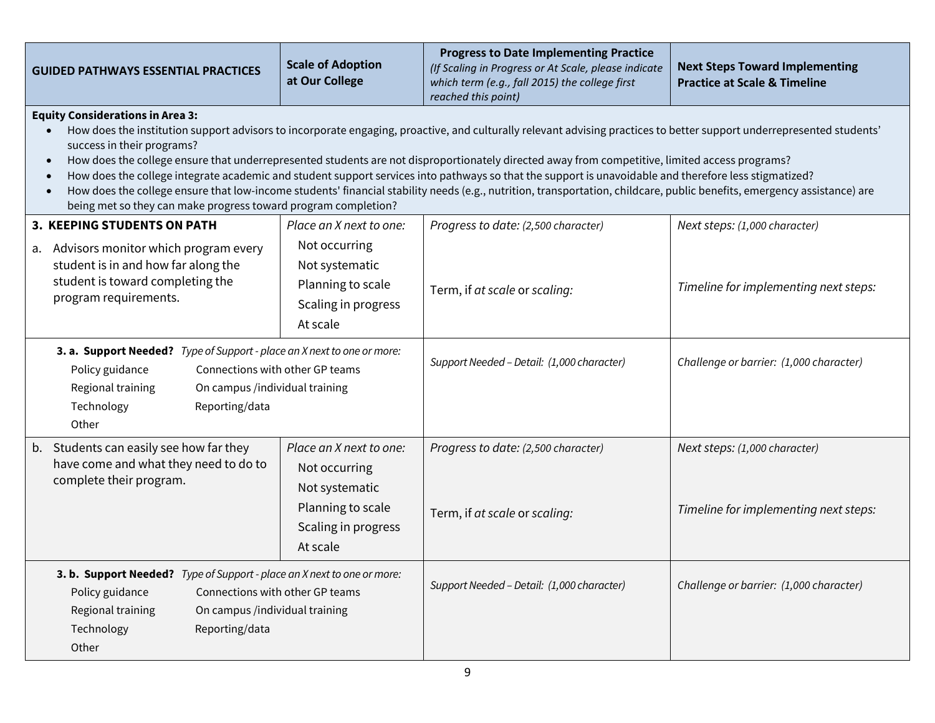| <b>GUIDED PATHWAYS ESSENTIAL PRACTICES</b>                                                                                                                                                                                                                                                                                                                                                                                                                                                                                                                                                                                                                                                                                                                                                             | <b>Scale of Adoption</b><br>at Our College                                                                         | <b>Progress to Date Implementing Practice</b><br>(If Scaling in Progress or At Scale, please indicate<br>which term (e.g., fall 2015) the college first<br>reached this point) | <b>Next Steps Toward Implementing</b><br><b>Practice at Scale &amp; Timeline</b> |  |
|--------------------------------------------------------------------------------------------------------------------------------------------------------------------------------------------------------------------------------------------------------------------------------------------------------------------------------------------------------------------------------------------------------------------------------------------------------------------------------------------------------------------------------------------------------------------------------------------------------------------------------------------------------------------------------------------------------------------------------------------------------------------------------------------------------|--------------------------------------------------------------------------------------------------------------------|--------------------------------------------------------------------------------------------------------------------------------------------------------------------------------|----------------------------------------------------------------------------------|--|
| <b>Equity Considerations in Area 3:</b><br>How does the institution support advisors to incorporate engaging, proactive, and culturally relevant advising practices to better support underrepresented students'<br>success in their programs?<br>How does the college ensure that underrepresented students are not disproportionately directed away from competitive, limited access programs?<br>How does the college integrate academic and student support services into pathways so that the support is unavoidable and therefore less stigmatized?<br>How does the college ensure that low-income students' financial stability needs (e.g., nutrition, transportation, childcare, public benefits, emergency assistance) are<br>being met so they can make progress toward program completion? |                                                                                                                    |                                                                                                                                                                                |                                                                                  |  |
| 3. KEEPING STUDENTS ON PATH<br>a. Advisors monitor which program every<br>student is in and how far along the<br>student is toward completing the<br>program requirements.                                                                                                                                                                                                                                                                                                                                                                                                                                                                                                                                                                                                                             | Place an X next to one:<br>Not occurring<br>Not systematic<br>Planning to scale<br>Scaling in progress<br>At scale | Progress to date: (2,500 character)<br>Term, if at scale or scaling:                                                                                                           | Next steps: (1,000 character)<br>Timeline for implementing next steps:           |  |
| 3. a. Support Needed? Type of Support - place an X next to one or more:<br>Connections with other GP teams<br>Policy guidance<br>Regional training<br>On campus /individual training<br>Technology<br>Reporting/data<br>Other                                                                                                                                                                                                                                                                                                                                                                                                                                                                                                                                                                          |                                                                                                                    | Support Needed - Detail: (1,000 character)                                                                                                                                     | Challenge or barrier: (1,000 character)                                          |  |
| b. Students can easily see how far they<br>have come and what they need to do to<br>complete their program.                                                                                                                                                                                                                                                                                                                                                                                                                                                                                                                                                                                                                                                                                            | Place an X next to one:<br>Not occurring<br>Not systematic<br>Planning to scale<br>Scaling in progress<br>At scale | Progress to date: (2,500 character)<br>Term, if at scale or scaling:                                                                                                           | Next steps: (1,000 character)<br>Timeline for implementing next steps:           |  |
| 3. b. Support Needed? Type of Support - place an X next to one or more:<br>Policy guidance<br>Connections with other GP teams<br>Regional training<br>On campus /individual training<br>Technology<br>Reporting/data<br>Other                                                                                                                                                                                                                                                                                                                                                                                                                                                                                                                                                                          |                                                                                                                    | Support Needed - Detail: (1,000 character)                                                                                                                                     | Challenge or barrier: (1,000 character)                                          |  |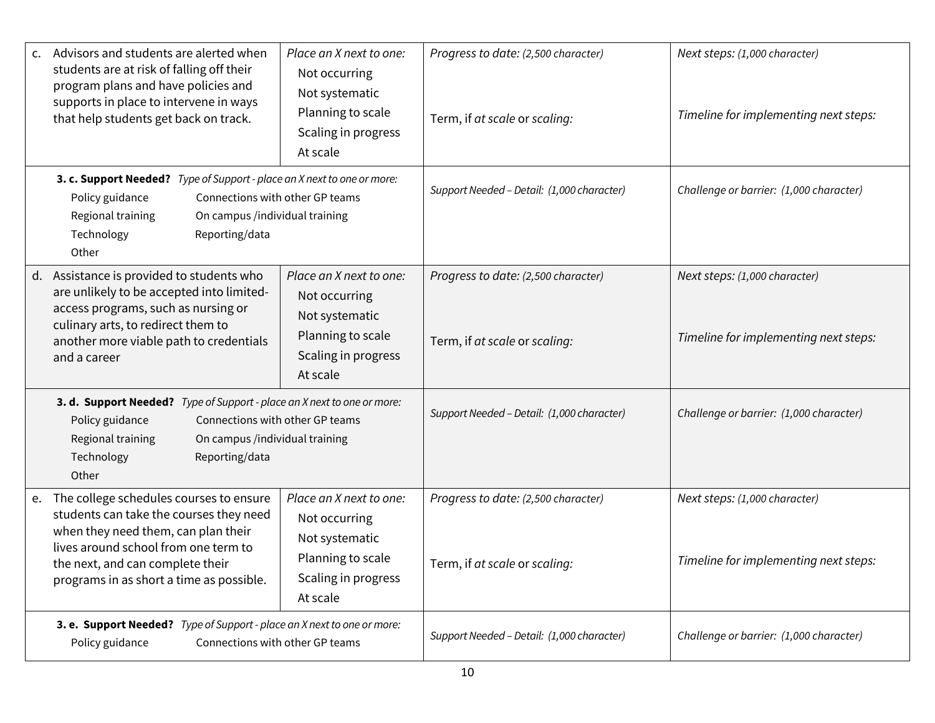| Advisors and students are alerted when<br>C <sub>1</sub><br>students are at risk of falling off their<br>program plans and have policies and<br>supports in place to intervene in ways<br>that help students get back on track.                         | Place an X next to one:<br>Not occurring<br>Not systematic<br>Planning to scale<br>Scaling in progress<br>At scale | Progress to date: (2,500 character)<br>Term, if at scale or scaling: | Next steps: (1,000 character)<br>Timeline for implementing next steps: |
|---------------------------------------------------------------------------------------------------------------------------------------------------------------------------------------------------------------------------------------------------------|--------------------------------------------------------------------------------------------------------------------|----------------------------------------------------------------------|------------------------------------------------------------------------|
| 3. c. Support Needed? Type of Support - place an X next to one or more:<br>Connections with other GP teams<br>Policy guidance<br>Regional training<br>On campus /individual training<br>Technology<br>Reporting/data<br>Other                           |                                                                                                                    | Support Needed - Detail: (1,000 character)                           | Challenge or barrier: (1,000 character)                                |
| Assistance is provided to students who<br>d.<br>are unlikely to be accepted into limited-<br>access programs, such as nursing or<br>culinary arts, to redirect them to<br>another more viable path to credentials<br>and a career                       | Place an X next to one:<br>Not occurring<br>Not systematic<br>Planning to scale<br>Scaling in progress<br>At scale | Progress to date: (2,500 character)<br>Term, if at scale or scaling: | Next steps: (1,000 character)<br>Timeline for implementing next steps: |
| 3. d. Support Needed? Type of Support - place an X next to one or more:<br>Policy guidance<br>Connections with other GP teams<br>Regional training<br>On campus /individual training<br>Technology<br>Reporting/data<br>Other                           |                                                                                                                    | Support Needed - Detail: (1,000 character)                           | Challenge or barrier: (1,000 character)                                |
| The college schedules courses to ensure<br>e.<br>students can take the courses they need<br>when they need them, can plan their<br>lives around school from one term to<br>the next, and can complete their<br>programs in as short a time as possible. | Place an X next to one:<br>Not occurring<br>Not systematic<br>Planning to scale<br>Scaling in progress<br>At scale | Progress to date: (2,500 character)<br>Term, if at scale or scaling: | Next steps: (1,000 character)<br>Timeline for implementing next steps: |
| 3. e. Support Needed? Type of Support - place an X next to one or more:<br>Policy guidance<br>Connections with other GP teams                                                                                                                           |                                                                                                                    | Support Needed - Detail: (1,000 character)                           | Challenge or barrier: (1,000 character)                                |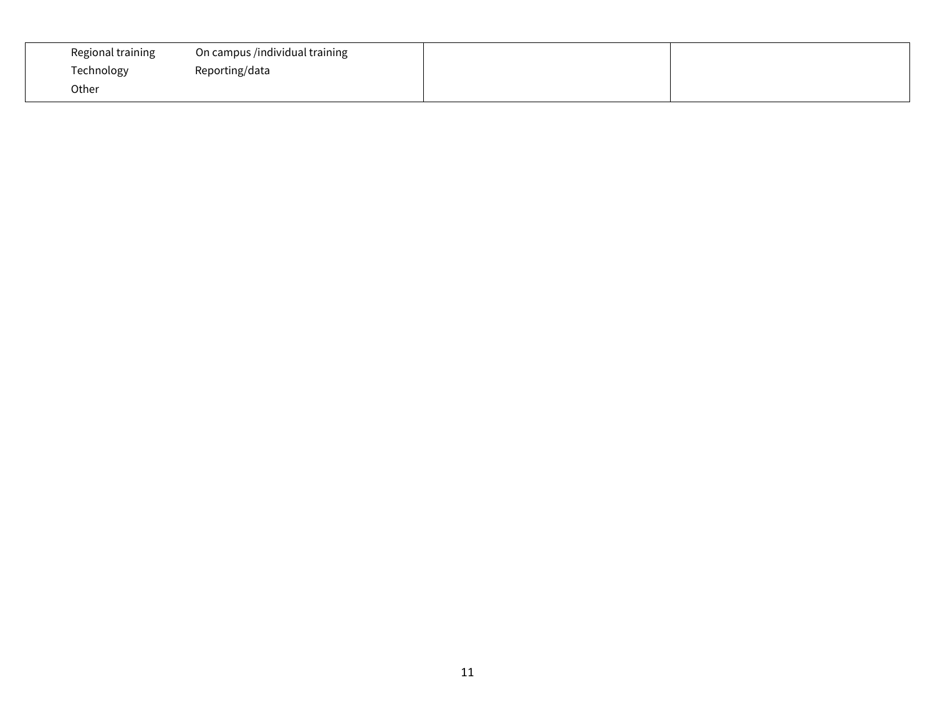| Regional training | On campus /individual training |  |
|-------------------|--------------------------------|--|
| Technology        | Reporting/data                 |  |
| Other             |                                |  |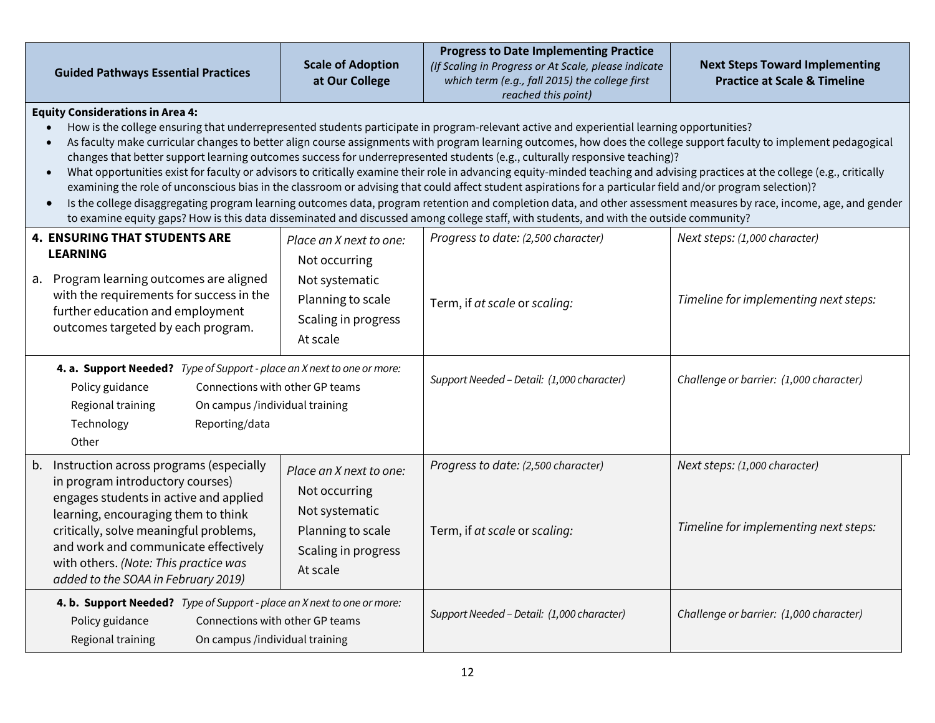|                                                                                                                                                                                                                                                                                                                                                                                                                                                                                                                                                                                                                                                                                                                                                                                                                                                                                                                                                                                                                    | <b>Guided Pathways Essential Practices</b>                                                                                                                                                                                                                                                                                        | <b>Scale of Adoption</b><br>at Our College                                                                         | <b>Progress to Date Implementing Practice</b><br>(If Scaling in Progress or At Scale, please indicate<br>which term (e.g., fall 2015) the college first<br>reached this point) | <b>Next Steps Toward Implementing</b><br><b>Practice at Scale &amp; Timeline</b> |
|--------------------------------------------------------------------------------------------------------------------------------------------------------------------------------------------------------------------------------------------------------------------------------------------------------------------------------------------------------------------------------------------------------------------------------------------------------------------------------------------------------------------------------------------------------------------------------------------------------------------------------------------------------------------------------------------------------------------------------------------------------------------------------------------------------------------------------------------------------------------------------------------------------------------------------------------------------------------------------------------------------------------|-----------------------------------------------------------------------------------------------------------------------------------------------------------------------------------------------------------------------------------------------------------------------------------------------------------------------------------|--------------------------------------------------------------------------------------------------------------------|--------------------------------------------------------------------------------------------------------------------------------------------------------------------------------|----------------------------------------------------------------------------------|
| <b>Equity Considerations in Area 4:</b><br>How is the college ensuring that underrepresented students participate in program-relevant active and experiential learning opportunities?<br>As faculty make curricular changes to better align course assignments with program learning outcomes, how does the college support faculty to implement pedagogical<br>changes that better support learning outcomes success for underrepresented students (e.g., culturally responsive teaching)?<br>What opportunities exist for faculty or advisors to critically examine their role in advancing equity-minded teaching and advising practices at the college (e.g., critically<br>examining the role of unconscious bias in the classroom or advising that could affect student aspirations for a particular field and/or program selection)?<br>Is the college disaggregating program learning outcomes data, program retention and completion data, and other assessment measures by race, income, age, and gender |                                                                                                                                                                                                                                                                                                                                   |                                                                                                                    | to examine equity gaps? How is this data disseminated and discussed among college staff, with students, and with the outside community?                                        |                                                                                  |
|                                                                                                                                                                                                                                                                                                                                                                                                                                                                                                                                                                                                                                                                                                                                                                                                                                                                                                                                                                                                                    | <b>4. ENSURING THAT STUDENTS ARE</b><br><b>LEARNING</b><br>a. Program learning outcomes are aligned<br>with the requirements for success in the<br>further education and employment<br>outcomes targeted by each program.                                                                                                         | Place an X next to one:<br>Not occurring<br>Not systematic<br>Planning to scale<br>Scaling in progress<br>At scale | Progress to date: (2,500 character)<br>Term, if at scale or scaling:                                                                                                           | Next steps: (1,000 character)<br>Timeline for implementing next steps:           |
|                                                                                                                                                                                                                                                                                                                                                                                                                                                                                                                                                                                                                                                                                                                                                                                                                                                                                                                                                                                                                    | 4. a. Support Needed? Type of Support - place an X next to one or more:<br>Policy guidance<br>Connections with other GP teams<br>Regional training<br>On campus /individual training<br>Reporting/data<br>Technology<br>Other                                                                                                     |                                                                                                                    | Support Needed - Detail: (1,000 character)                                                                                                                                     | Challenge or barrier: (1,000 character)                                          |
|                                                                                                                                                                                                                                                                                                                                                                                                                                                                                                                                                                                                                                                                                                                                                                                                                                                                                                                                                                                                                    | b. Instruction across programs (especially<br>in program introductory courses)<br>engages students in active and applied<br>learning, encouraging them to think<br>critically, solve meaningful problems,<br>and work and communicate effectively<br>with others. (Note: This practice was<br>added to the SOAA in February 2019) | Place an X next to one:<br>Not occurring<br>Not systematic<br>Planning to scale<br>Scaling in progress<br>At scale | Progress to date: (2,500 character)<br>Term, if at scale or scaling:                                                                                                           | Next steps: (1,000 character)<br>Timeline for implementing next steps:           |
|                                                                                                                                                                                                                                                                                                                                                                                                                                                                                                                                                                                                                                                                                                                                                                                                                                                                                                                                                                                                                    | 4. b. Support Needed? Type of Support - place an X next to one or more:<br>Policy guidance<br>Connections with other GP teams<br>Regional training<br>On campus /individual training                                                                                                                                              |                                                                                                                    | Support Needed - Detail: (1,000 character)                                                                                                                                     | Challenge or barrier: (1,000 character)                                          |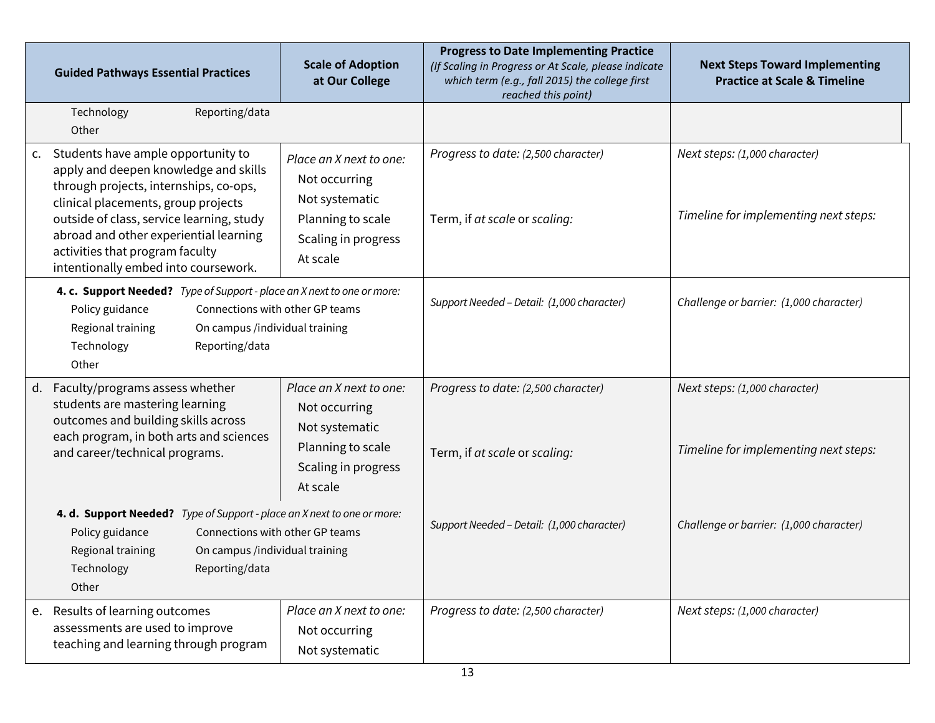|    | <b>Guided Pathways Essential Practices</b>                                                                                                                                                                                                                                                                                     | <b>Scale of Adoption</b><br>at Our College                                                                         | <b>Progress to Date Implementing Practice</b><br>(If Scaling in Progress or At Scale, please indicate<br>which term (e.g., fall 2015) the college first<br>reached this point) | <b>Next Steps Toward Implementing</b><br><b>Practice at Scale &amp; Timeline</b> |
|----|--------------------------------------------------------------------------------------------------------------------------------------------------------------------------------------------------------------------------------------------------------------------------------------------------------------------------------|--------------------------------------------------------------------------------------------------------------------|--------------------------------------------------------------------------------------------------------------------------------------------------------------------------------|----------------------------------------------------------------------------------|
|    | Technology<br>Reporting/data<br>Other                                                                                                                                                                                                                                                                                          |                                                                                                                    |                                                                                                                                                                                |                                                                                  |
| c. | Students have ample opportunity to<br>apply and deepen knowledge and skills<br>through projects, internships, co-ops,<br>clinical placements, group projects<br>outside of class, service learning, study<br>abroad and other experiential learning<br>activities that program faculty<br>intentionally embed into coursework. | Place an X next to one:<br>Not occurring<br>Not systematic<br>Planning to scale<br>Scaling in progress<br>At scale | Progress to date: (2,500 character)<br>Term, if at scale or scaling:                                                                                                           | Next steps: (1,000 character)<br>Timeline for implementing next steps:           |
|    | 4. c. Support Needed? Type of Support - place an X next to one or more:<br>Policy guidance<br>Connections with other GP teams<br>On campus /individual training<br>Regional training<br>Technology<br>Reporting/data<br>Other                                                                                                  |                                                                                                                    | Support Needed - Detail: (1,000 character)                                                                                                                                     | Challenge or barrier: (1,000 character)                                          |
| d. | Faculty/programs assess whether<br>students are mastering learning<br>outcomes and building skills across<br>each program, in both arts and sciences<br>and career/technical programs.                                                                                                                                         | Place an X next to one:<br>Not occurring<br>Not systematic<br>Planning to scale<br>Scaling in progress<br>At scale | Progress to date: (2,500 character)<br>Term, if at scale or scaling:                                                                                                           | Next steps: (1,000 character)<br>Timeline for implementing next steps:           |
|    | 4. d. Support Needed? Type of Support - place an X next to one or more:<br>Connections with other GP teams<br>Policy guidance<br>Regional training<br>On campus /individual training<br>Reporting/data<br>Technology<br>Other                                                                                                  |                                                                                                                    | Support Needed - Detail: (1,000 character)                                                                                                                                     | Challenge or barrier: (1,000 character)                                          |
| e. | Results of learning outcomes<br>assessments are used to improve<br>teaching and learning through program                                                                                                                                                                                                                       | Place an X next to one:<br>Not occurring<br>Not systematic                                                         | Progress to date: (2,500 character)                                                                                                                                            | Next steps: (1,000 character)                                                    |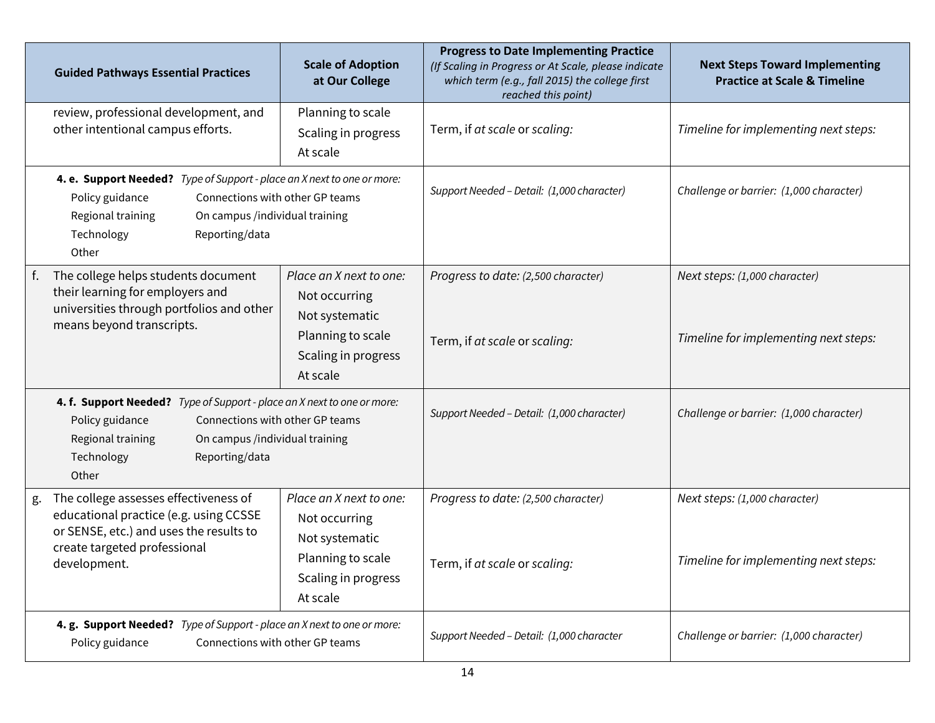|                                                                                                                               | <b>Guided Pathways Essential Practices</b>                                                                                                                                                                                    | <b>Scale of Adoption</b><br>at Our College                                                                         | <b>Progress to Date Implementing Practice</b><br>(If Scaling in Progress or At Scale, please indicate<br>which term (e.g., fall 2015) the college first<br>reached this point) | <b>Next Steps Toward Implementing</b><br><b>Practice at Scale &amp; Timeline</b> |
|-------------------------------------------------------------------------------------------------------------------------------|-------------------------------------------------------------------------------------------------------------------------------------------------------------------------------------------------------------------------------|--------------------------------------------------------------------------------------------------------------------|--------------------------------------------------------------------------------------------------------------------------------------------------------------------------------|----------------------------------------------------------------------------------|
|                                                                                                                               | review, professional development, and<br>other intentional campus efforts.                                                                                                                                                    | Planning to scale<br>Scaling in progress<br>At scale                                                               | Term, if at scale or scaling:                                                                                                                                                  | Timeline for implementing next steps:                                            |
|                                                                                                                               | 4. e. Support Needed? Type of Support - place an X next to one or more:<br>Policy guidance<br>Connections with other GP teams<br>Regional training<br>On campus /individual training<br>Reporting/data<br>Technology<br>Other |                                                                                                                    | Support Needed - Detail: (1,000 character)                                                                                                                                     | Challenge or barrier: (1,000 character)                                          |
|                                                                                                                               | The college helps students document<br>their learning for employers and<br>universities through portfolios and other<br>means beyond transcripts.                                                                             | Place an X next to one:<br>Not occurring<br>Not systematic<br>Planning to scale<br>Scaling in progress<br>At scale | Progress to date: (2,500 character)<br>Term, if at scale or scaling:                                                                                                           | Next steps: (1,000 character)<br>Timeline for implementing next steps:           |
|                                                                                                                               | 4. f. Support Needed? Type of Support - place an X next to one or more:<br>Policy guidance<br>Connections with other GP teams<br>Regional training<br>On campus /individual training<br>Technology<br>Reporting/data<br>Other |                                                                                                                    | Support Needed - Detail: (1,000 character)                                                                                                                                     | Challenge or barrier: (1,000 character)                                          |
| g.                                                                                                                            | The college assesses effectiveness of<br>educational practice (e.g. using CCSSE<br>or SENSE, etc.) and uses the results to<br>create targeted professional<br>development.                                                    | Place an X next to one:<br>Not occurring<br>Not systematic<br>Planning to scale<br>Scaling in progress<br>At scale | Progress to date: (2,500 character)<br>Term, if at scale or scaling:                                                                                                           | Next steps: (1,000 character)<br>Timeline for implementing next steps:           |
| 4. g. Support Needed? Type of Support - place an X next to one or more:<br>Policy guidance<br>Connections with other GP teams |                                                                                                                                                                                                                               | Support Needed - Detail: (1,000 character                                                                          | Challenge or barrier: (1,000 character)                                                                                                                                        |                                                                                  |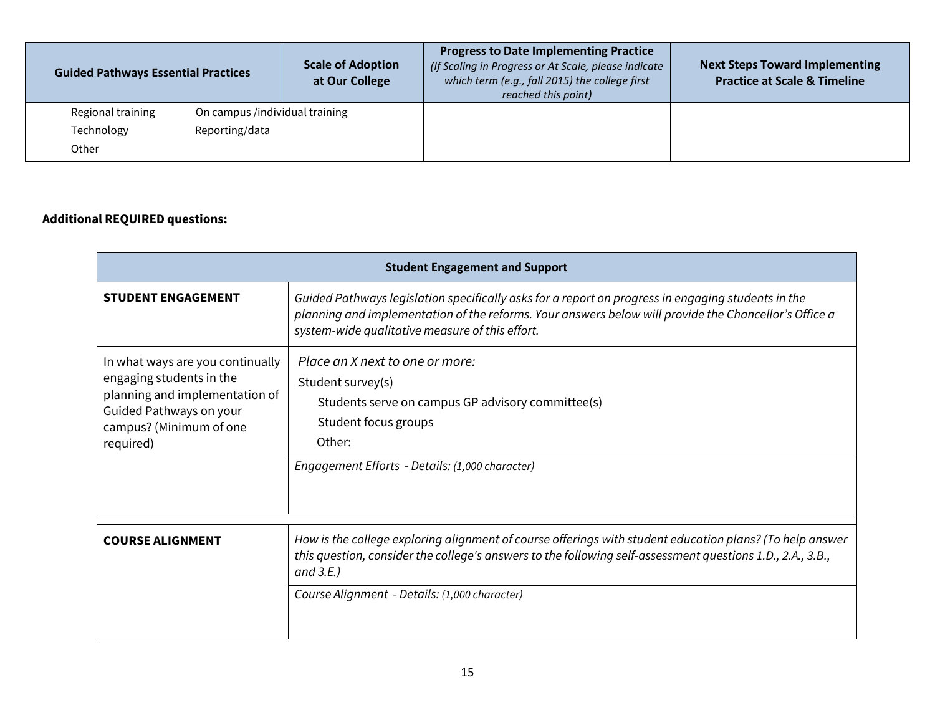| <b>Guided Pathways Essential Practices</b> |                                | <b>Scale of Adoption</b><br>at Our College | <b>Progress to Date Implementing Practice</b><br>(If Scaling in Progress or At Scale, please indicate<br>which term (e.g., fall 2015) the college first<br>reached this point) | <b>Next Steps Toward Implementing</b><br><b>Practice at Scale &amp; Timeline</b> |
|--------------------------------------------|--------------------------------|--------------------------------------------|--------------------------------------------------------------------------------------------------------------------------------------------------------------------------------|----------------------------------------------------------------------------------|
| Regional training                          | On campus /individual training |                                            |                                                                                                                                                                                |                                                                                  |
| Technology                                 | Reporting/data                 |                                            |                                                                                                                                                                                |                                                                                  |
| Other                                      |                                |                                            |                                                                                                                                                                                |                                                                                  |

# **Additional REQUIRED questions:**

| <b>Student Engagement and Support</b>                                                                                                                             |                                                                                                                                                                                                                                                                                         |  |  |  |
|-------------------------------------------------------------------------------------------------------------------------------------------------------------------|-----------------------------------------------------------------------------------------------------------------------------------------------------------------------------------------------------------------------------------------------------------------------------------------|--|--|--|
| <b>STUDENT ENGAGEMENT</b>                                                                                                                                         | Guided Pathways legislation specifically asks for a report on progress in engaging students in the<br>planning and implementation of the reforms. Your answers below will provide the Chancellor's Office a<br>system-wide qualitative measure of this effort.                          |  |  |  |
| In what ways are you continually<br>engaging students in the<br>planning and implementation of<br>Guided Pathways on your<br>campus? (Minimum of one<br>required) | Place an X next to one or more:<br>Student survey(s)<br>Students serve on campus GP advisory committee(s)<br>Student focus groups<br>Other:<br>Engagement Efforts - Details: (1,000 character)                                                                                          |  |  |  |
| <b>COURSE ALIGNMENT</b>                                                                                                                                           | How is the college exploring alignment of course offerings with student education plans? (To help answer<br>this question, consider the college's answers to the following self-assessment questions 1.D., 2.A., 3.B.,<br>and $3.E.$ )<br>Course Alignment - Details: (1,000 character) |  |  |  |